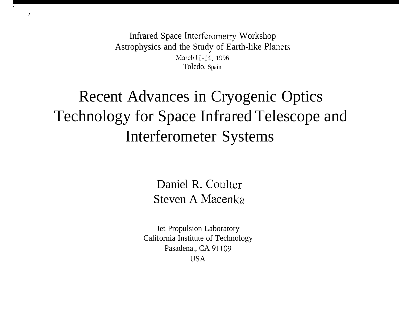Infrared Space Interferometry Workshop Astrophysics and the Study of Earth-like Planets March 11-14, 1996 Toledo. Spain

?,

f

### Recent Advances in Cryogenic Optics Technology for Space Infrared Telescope and Interferometer Systems

Daniel R. Coulter Steven A Macenka

Jet Propulsion Laboratory California Institute of Technology Pasadena., CA 91109 USA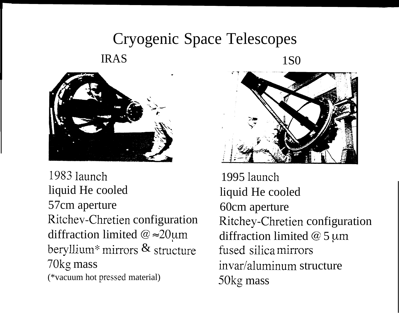### Cryogenic Space Telescopes IRAS 1S0



**1983** launch liquid He cooled 57cm aperture Ritchev-Chretien configuration diffraction limited  $@ \approx 20 \text{µm}$ beryllium\* mirrors  $\&$  structure 70kg mass (\*vacuum hot pressed material)



1995 launch liquid He cooled 60cm aperture Ritchey-Chretien configuration diffraction limited  $@$  5  $~\mu$ m fused silica mirrors invar/aluminum structure 50kg mass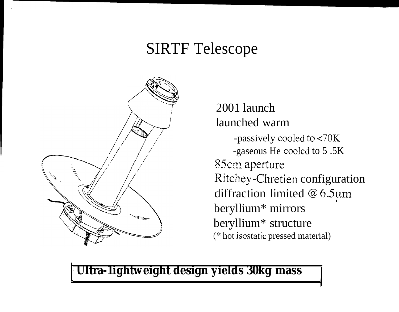### SIRTF Telescope



.,

2001 launch launched warm -passively cooled to <70K -gaseous He cooled to 5 .5K 85cm aperture Ritchey-Chretien configuration diffraction limited  $@6.5um$ beryllium\* mirrors beryllium\* structure (\* hot isostatic pressed material)

**\**

**I Ultra-1ightweight design yields 30kg mass /**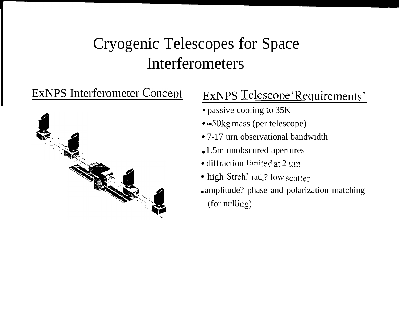### Cryogenic Telescopes for Space Interferometers



### EXNPS Interferometer Concept ExNPS Telescope Requirements'

- passive cooling to 35K
- $\bullet \approx 50$ kg mass (per telescope)
- 7-17 urn observational bandwidth
- 1.5m unobscured apertures
- $\bullet$  diffraction limited at 2  $\mu$ m.
- high Strehl rati<sub>o</sub>? low scatter
- amplitude? phase and polarization matching (for nulling)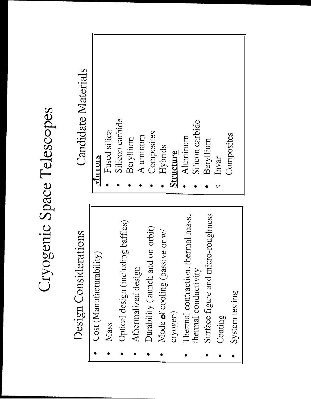## Cryogenic Space Telescopes

## Design Considerations

- Cost (Manufacturability)
	- Mass
- Optical design (including baffles)
	- Athermalized design
- Durability (aunch and on-orbit)
	- Mode of cooling (passive or w/ cryogen)
- Thermal contraction, thermal mass, thermal conductivity
- Surface figure and micro-roughness
	- Coating
- System testing

## Candidate Materials

| MITTOLS          |  |
|------------------|--|
| Fused silica     |  |
| Silicon carbide  |  |
| Beryllium        |  |
| A uminum         |  |
| Composites       |  |
| Hybrids          |  |
| <b>Structure</b> |  |
| Aluminum         |  |
| Silicon carbide  |  |
| Beryllium        |  |
| Invar<br>o*      |  |
| Composites       |  |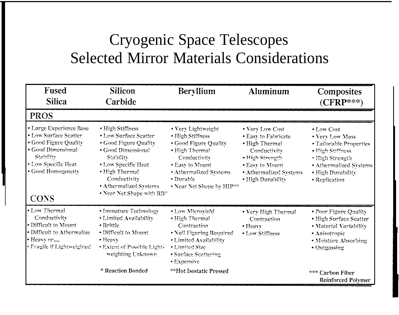### Cryogenic Space Telescopes Selected Mirror Materials Considerations

| Fused<br><b>Silica</b>                                                                                                                                                   | <b>Silicon</b><br>Carbide                                                                                                                                                                                             | <b>Beryllium</b>                                                                                                                                                                         | <b>Aluminum</b>                                                                                                                                               | <b>Composites</b><br>$(\mathbf{CFRP^{***}})$                                                                                                                    |
|--------------------------------------------------------------------------------------------------------------------------------------------------------------------------|-----------------------------------------------------------------------------------------------------------------------------------------------------------------------------------------------------------------------|------------------------------------------------------------------------------------------------------------------------------------------------------------------------------------------|---------------------------------------------------------------------------------------------------------------------------------------------------------------|-----------------------------------------------------------------------------------------------------------------------------------------------------------------|
| <b>PROS</b>                                                                                                                                                              |                                                                                                                                                                                                                       |                                                                                                                                                                                          |                                                                                                                                                               |                                                                                                                                                                 |
| • Large Experience Base<br>• Low Surface Scatter<br>· Good Figure Quality<br>• Good Dimensional<br>Stability<br>• Low Specific Heat<br>· Good Homogeneity<br><b>CONS</b> | • High Stiffness<br>• Low Surface Scatter<br>• Good Figure Quality<br>• Good Dimensional<br>Stability<br>• Low Specific Heat<br>• High Thermal<br>Conductivity<br>• Athermalized Systems<br>• Near Net Shape with RB* | • Very Lightweight<br>• High Stiffness<br>· Good Figure Quality<br>• High Thermal<br>Conductivity<br>• Easy to Mount<br>• Athermalized Systems<br>· Durable<br>• Near Net Shape by HIP** | • Very Low Cost<br>• Easy to Fabricate<br>· High Thermal<br>Conductivity<br>· High Strength<br>• Easy to Mount<br>• Athermalized Systems<br>· High Durability | • Low Cost<br>• Very Low Mass<br>• Tailorable Properties<br>· High Stiffness<br>· High Strength<br>• Athermalized Systems<br>. High Durability<br>• Replication |
| • Low Thermal<br>Conductivity<br>• Difficult to Mount<br>• Difficult to Athermalize<br>• Heavy or<br>· Fragile if Lightweighted                                          | • Immature Technology<br>• Limited Availability<br>$\bullet$ Brittle<br>• Difficult to Mount<br>• Heavy<br>• Extent of Possible Light-<br>weighting Unknown                                                           | • Low Microyield<br>· High Thermal<br>Contraction<br>• Null Figuring Required<br>· Limited Availability<br>• Limited Size<br>• Surface Scattering<br>• Expensive                         | . Very High Thermal<br>Contraction<br>• Heavy<br>• Low Stiffness                                                                                              | • Poor Figure Quality<br>· High Surface Scatter<br>· Material Variability<br>· Anisotropic<br>• Moisture Absorbing<br>• Outgassing                              |
|                                                                                                                                                                          | * Reaction Bonded                                                                                                                                                                                                     | **Hot Isostatic Pressed                                                                                                                                                                  |                                                                                                                                                               | *** Carbon Fiber<br>Reinforced Polymer                                                                                                                          |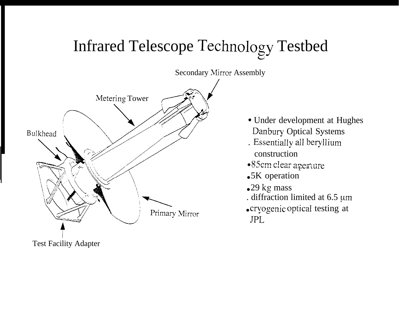### Infrared Telescope Technology Testbed



- Under development at Hughes Danbury Optical Systems
- . Essentially all beryllium construction
- •85cm clear aperture
- •5K operation
- $\bullet$  29 kg mass
- . diffraction limited at 6.5 um
- cryogenic optical testing at **JPL**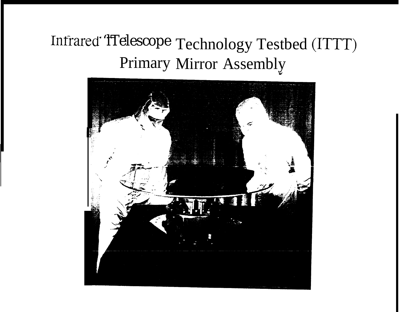### Infrared 'lTelescope Technology Testbed (ITTT) Primary Mirror Assembly

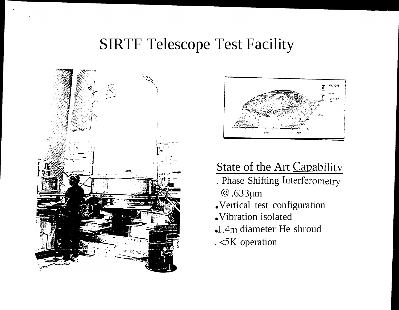### **SIRTF Telescope Test Facility**





### State of the Art Capability

- . Phase Shifting Interferometry
	- @.633um
- .Vertical test configuration
- .Vibration isolated
- -1.4m diameter He shroud
- .<5K operation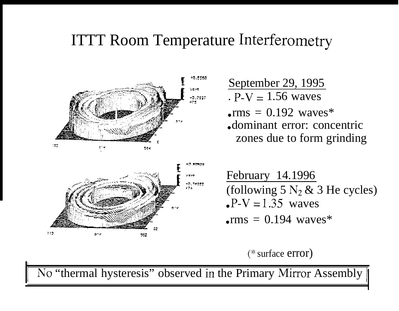### ITTT Room Temperature Interferometry



September 29, 1995 .  $P-V = 1.56$  waves

 $\text{rms} = 0.192$  waves\* ● dominant error: concentric zones due to form grinding



L

February 14.1996 (following 5  $N_2$  & 3 He cycles)  $P-V = 1.35$  waves  $\text{rms} = 0.194$  waves\*

(\* surface error)

No "thermal hysteresis" observed in the Primary Mirror Assembly ||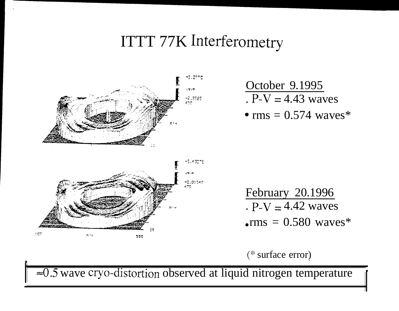### ITTT 77K Interferometry



October 9.1995  $P-V = 4.43$  waves  $\cdot$  rms = 0.574 waves\*



\

February 20.1996 .  $P-V = 4.42$  waves  $\cdot$ rms = 0.580 waves\*

(\* surface error) .

 $\approx 0.5$  wave cryo-distortion observed at liquid nitrogen temperature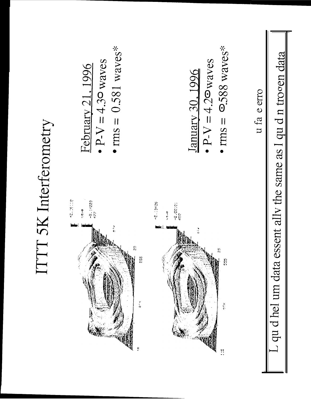# $\overline{L}$  qu d hel um data essent ally the same as  $1$  qu d n trogen data

u fa e erro

$$
\frac{\text{January 30.1996}}{\text{P-V} = 4.2 \text{ waves}}
$$
  
• 
$$
\text{P-V} = 4.2 \text{ waves}
$$
  
• 
$$
\text{rms} = 9.588 \text{ waves}^*
$$







**ITTT 5K** Interferometry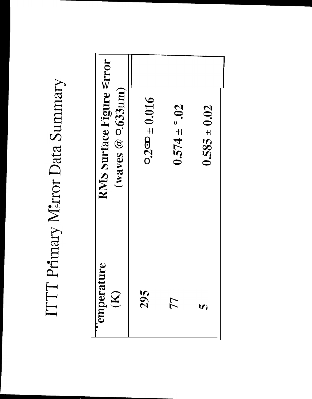### RMS Surface Figure stror (waves  $@$   $0.633$ um)  $0.200 \pm 0.016$  $0.574 \pm 0.02$  $0.585 \pm 0.02$ emperature 295  $\widetilde{\mathbf{K}}$ 77  $\overline{u}$

ITTT Primary M<sup>2</sup>rror Data Summary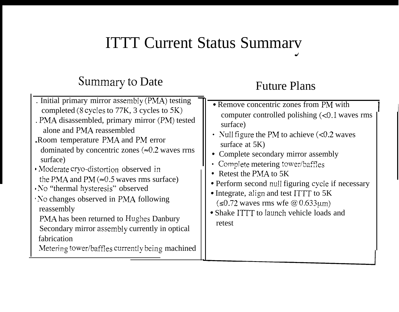### ITTT Current Status Summarv J

### Summary to Date

### Future Plans

| . Initial primary mirror assembly (PMA) testing<br>completed (8 cycles to 77K, 3 cycles to 5K)<br>. PMA disassembled, primary mirror (PM) tested<br>alone and PMA reassembled<br>. Room temperature PMA and PM error<br>dominated by concentric zones ( $\approx 0.2$ waves rms<br>surface)<br>• Moderate cryo-distortion observed in<br>the PMA and PM ( $\approx 0.5$ waves rms surface)<br>No "thermal hysteresis" observed<br>No changes observed in PMA following<br>reassembly<br>PMA has been returned to Hughes Danbury<br>Secondary mirror assembly currently in optical<br>fabrication<br>Metering tower/baffles currently being machined | • Remove concentric zones from PM with<br>computer controlled polishing $\ll 0.1$ waves rms<br>surface)<br>• Null figure the PM to achieve $\leq 0.2$ waves<br>surface at $5K$ )<br>• Complete secondary mirror assembly<br>• Complete metering tower/baffles<br>• Retest the PMA to 5K<br>• Perform second null figuring cycle if necessary<br>• Integrate, align and test ITTT to 5K<br>$(\leq 0.72$ waves rms wfe @ 0.633 $\mu$ m)<br>• Shake ITTT to launch vehicle loads and<br>retest |
|-----------------------------------------------------------------------------------------------------------------------------------------------------------------------------------------------------------------------------------------------------------------------------------------------------------------------------------------------------------------------------------------------------------------------------------------------------------------------------------------------------------------------------------------------------------------------------------------------------------------------------------------------------|---------------------------------------------------------------------------------------------------------------------------------------------------------------------------------------------------------------------------------------------------------------------------------------------------------------------------------------------------------------------------------------------------------------------------------------------------------------------------------------------|
|-----------------------------------------------------------------------------------------------------------------------------------------------------------------------------------------------------------------------------------------------------------------------------------------------------------------------------------------------------------------------------------------------------------------------------------------------------------------------------------------------------------------------------------------------------------------------------------------------------------------------------------------------------|---------------------------------------------------------------------------------------------------------------------------------------------------------------------------------------------------------------------------------------------------------------------------------------------------------------------------------------------------------------------------------------------------------------------------------------------------------------------------------------------|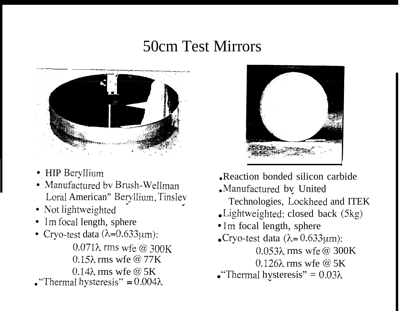### 50cm Test Mirrors



- HIP Beryllium
- Manufactured by Brush-Wellman Loral American" Beryllium, Tinslev
- Not lightweighted
- 1m focal length, sphere
- Cryo-test data  $(\lambda=0.633 \mu m)$ :  $0.071\lambda$  rms wfe @ 300K  $0.15\lambda$  rms wfe @ 77K  $0.14\lambda$  rms wfe @ 5K • "Thermal hysteresis" =  $0.004\lambda$



- Reaction bonded silicon carbide
- . Manufactured by United

Technologies, Lockheed and ITEK

- Lightweighted: closed back (5kg)
- 1m focal length, sphere
- Cryo-test data ( $\lambda$ = 0.633 $\mu$ m):
	- $0.053\lambda$  rms wfe @ 300K
	- $0.126\lambda$  rms wfe @ 5K
- "Thermal hysteresis" =  $0.03\lambda$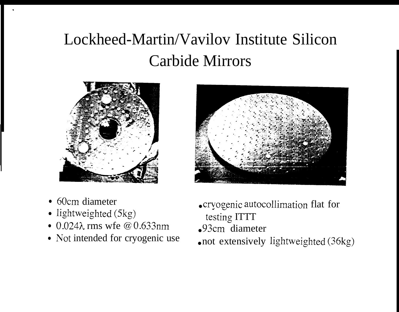### Lockheed-Martin/Vavilov Institute Silicon Carbide Mirrors



• 60cm diameter

.

- lightweighted (5kg)
- 0.024λ rms wfe @ 0.633nm
- Not intended for cryogenic use
- crvogenic autocollimation flat for testing ITTT
- 93cm diameter
- not extensively lightweighted  $(36kg)$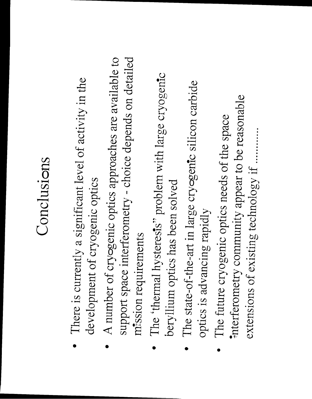### Conclusions

- There is currently a significant level of activity in the development of cryogenic optics
- A number of cryogenic optics approaches are available to support space interferometry - choice depends on detailed mission requirements
	- The 'thermal hysteresis' problem with large cryogenic beryllium optics has been solved
		- The state-of-the-art in large cryogenic silicon carbide optics is advancing rapidly
- interferometry community appear to be reasonable The future cryogenic optics needs of the space